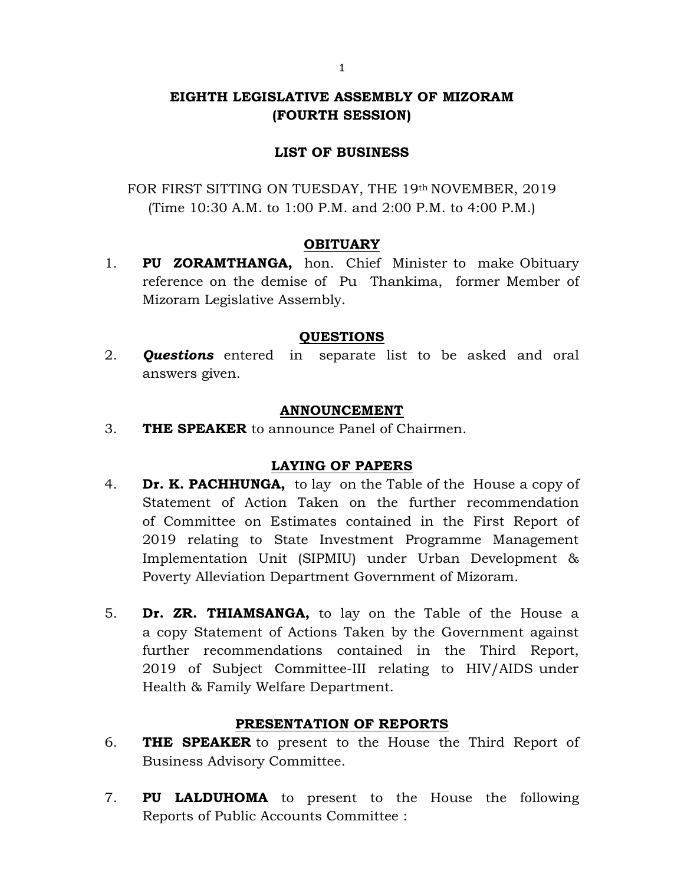## EIGHTH LEGISLATIVE ASSEMBLY OF MIZORAM (FOURTH SESSION)

## LIST OF BUSINESS

FOR FIRST SITTING ON TUESDAY, THE 19th NOVEMBER, 2019 (Time 10:30 A.M. to 1:00 P.M. and 2:00 P.M. to 4:00 P.M.)

#### **OBITUARY**

1. PU ZORAMTHANGA, hon. Chief Minister to make Obituary reference on the demise of Pu Thankima, former Member of Mizoram Legislative Assembly.

#### QUESTIONS

2. **Questions** entered in separate list to be asked and oral answers given.

#### ANNOUNCEMENT

3. THE SPEAKER to announce Panel of Chairmen.

#### LAYING OF PAPERS

- 4. **Dr. K. PACHHUNGA,** to lay on the Table of the House a copy of Statement of Action Taken on the further recommendation of Committee on Estimates contained in the First Report of 2019 relating to State Investment Programme Management Implementation Unit (SIPMIU) under Urban Development & Poverty Alleviation Department Government of Mizoram.
- 5. Dr. ZR. THIAMSANGA, to lay on the Table of the House a a copy Statement of Actions Taken by the Government against further recommendations contained in the Third Report, 2019 of Subject Committee-III relating to HIV/AIDS under Health & Family Welfare Department.

#### PRESENTATION OF REPORTS

- 6. THE SPEAKER to present to the House the Third Report of Business Advisory Committee.
- 7. **PU LALDUHOMA** to present to the House the following Reports of Public Accounts Committee :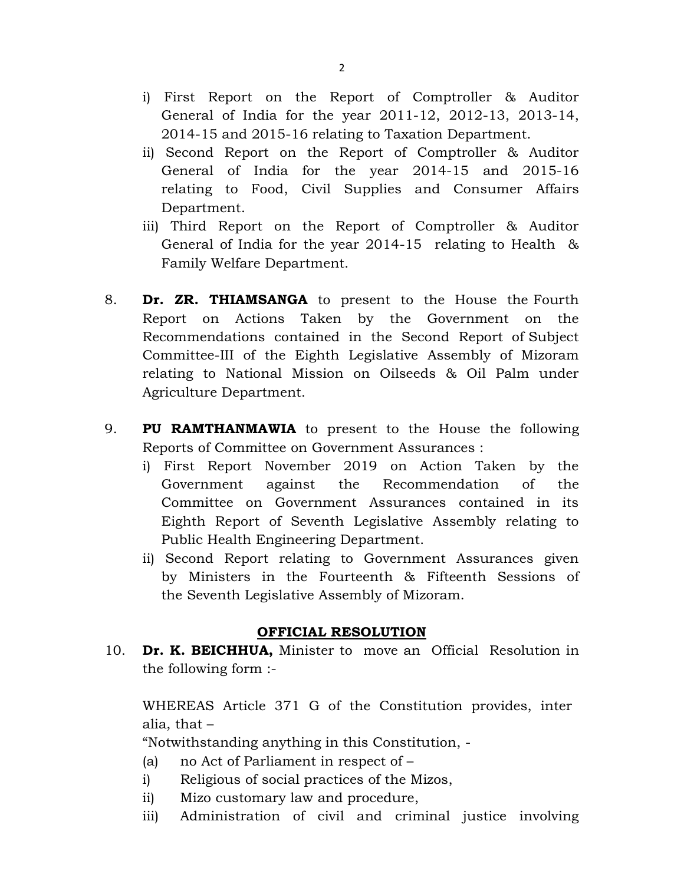- i) First Report on the Report of Comptroller & Auditor General of India for the year 2011-12, 2012-13, 2013-14, 2014-15 and 2015-16 relating to Taxation Department.
- ii) Second Report on the Report of Comptroller & Auditor General of India for the year 2014-15 and 2015-16 relating to Food, Civil Supplies and Consumer Affairs Department.
- iii) Third Report on the Report of Comptroller & Auditor General of India for the year 2014-15 relating to Health & Family Welfare Department.
- 8. **Dr. ZR. THIAMSANGA** to present to the House the Fourth Report on Actions Taken by the Government on the Recommendations contained in the Second Report of Subject Committee-III of the Eighth Legislative Assembly of Mizoram relating to National Mission on Oilseeds & Oil Palm under Agriculture Department.
- 9. PU RAMTHANMAWIA to present to the House the following Reports of Committee on Government Assurances :
	- i) First Report November 2019 on Action Taken by the Government against the Recommendation of the Committee on Government Assurances contained in its Eighth Report of Seventh Legislative Assembly relating to Public Health Engineering Department.
	- ii) Second Report relating to Government Assurances given by Ministers in the Fourteenth & Fifteenth Sessions of the Seventh Legislative Assembly of Mizoram.

#### OFFICIAL RESOLUTION

10. **Dr. K. BEICHHUA,** Minister to move an Official Resolution in the following form :-

 WHEREAS Article 371 G of the Constitution provides, inter alia, that –

"Notwithstanding anything in this Constitution, -

- (a) no Act of Parliament in respect of –
- i) Religious of social practices of the Mizos,
- ii) Mizo customary law and procedure,
- iii) Administration of civil and criminal justice involving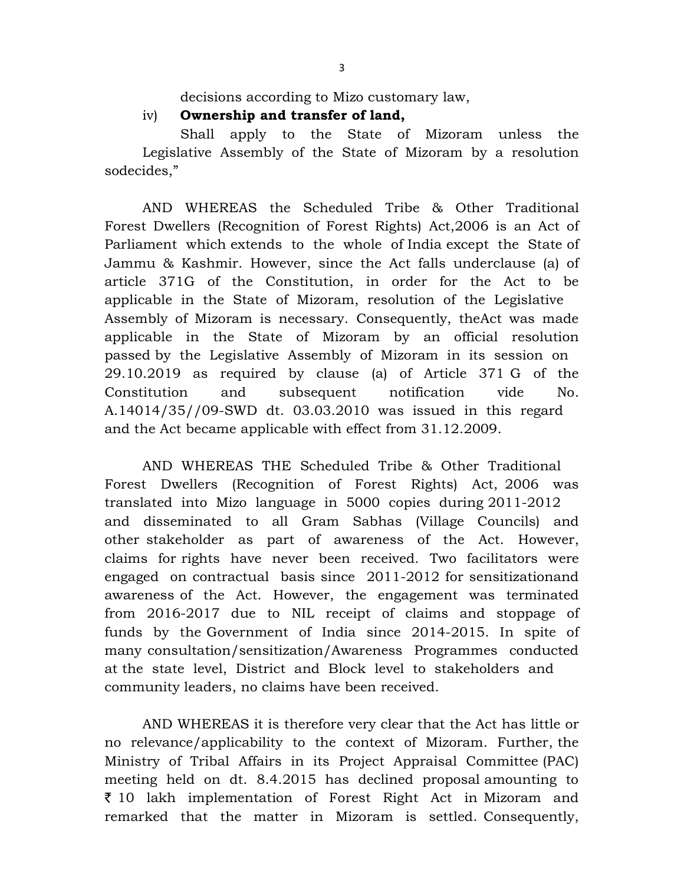decisions according to Mizo customary law,

iv) Ownership and transfer of land,

 Shall apply to the State of Mizoram unless the Legislative Assembly of the State of Mizoram by a resolution sodecides,"

 AND WHEREAS the Scheduled Tribe & Other Traditional Forest Dwellers (Recognition of Forest Rights) Act,2006 is an Act of Parliament which extends to the whole of India except the State of Jammu & Kashmir. However, since the Act falls underclause (a) of article 371G of the Constitution, in order for the Act to be applicable in the State of Mizoram, resolution of the Legislative Assembly of Mizoram is necessary. Consequently, theAct was made applicable in the State of Mizoram by an official resolution passed by the Legislative Assembly of Mizoram in its session on 29.10.2019 as required by clause (a) of Article 371 G of the Constitution and subsequent notification vide No. A.14014/35//09-SWD dt. 03.03.2010 was issued in this regard and the Act became applicable with effect from 31.12.2009.

 AND WHEREAS THE Scheduled Tribe & Other Traditional Forest Dwellers (Recognition of Forest Rights) Act, 2006 was translated into Mizo language in 5000 copies during 2011-2012 and disseminated to all Gram Sabhas (Village Councils) and other stakeholder as part of awareness of the Act. However, claims for rights have never been received. Two facilitators were engaged on contractual basis since 2011-2012 for sensitizationand awareness of the Act. However, the engagement was terminated from 2016-2017 due to NIL receipt of claims and stoppage of funds by the Government of India since 2014-2015. In spite of many consultation/sensitization/Awareness Programmes conducted at the state level, District and Block level to stakeholders and community leaders, no claims have been received.

 AND WHEREAS it is therefore very clear that the Act has little or no relevance/applicability to the context of Mizoram. Further, the Ministry of Tribal Affairs in its Project Appraisal Committee (PAC) meeting held on dt. 8.4.2015 has declined proposal amounting to 10 lakh implementation of Forest Right Act in Mizoram and remarked that the matter in Mizoram is settled. Consequently,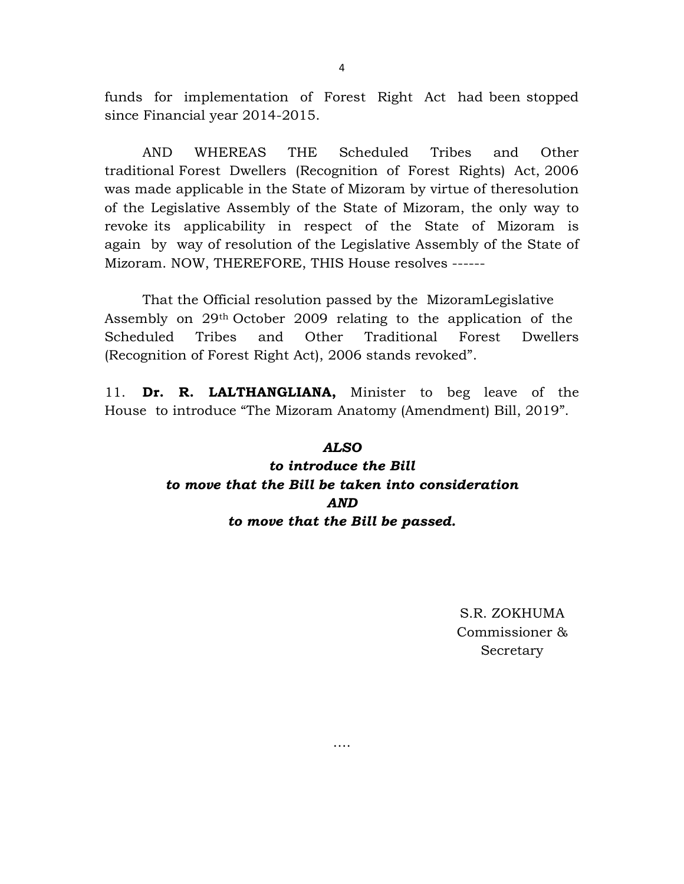funds for implementation of Forest Right Act had been stopped since Financial year 2014-2015.

 AND WHEREAS THE Scheduled Tribes and Other traditional Forest Dwellers (Recognition of Forest Rights) Act, 2006 was made applicable in the State of Mizoram by virtue of theresolution of the Legislative Assembly of the State of Mizoram, the only way to revoke its applicability in respect of the State of Mizoram is again by way of resolution of the Legislative Assembly of the State of Mizoram. NOW, THEREFORE, THIS House resolves ------

 That the Official resolution passed by the MizoramLegislative Assembly on 29th October 2009 relating to the application of the Scheduled Tribes and Other Traditional Forest Dwellers (Recognition of Forest Right Act), 2006 stands revoked".

11. Dr. R. LALTHANGLIANA, Minister to beg leave of the House to introduce "The Mizoram Anatomy (Amendment) Bill, 2019".

# ALSO to introduce the Bill to move that the Bill be taken into consideration AND to move that the Bill be passed.

….

S.R. ZOKHUMA Commissioner & Secretary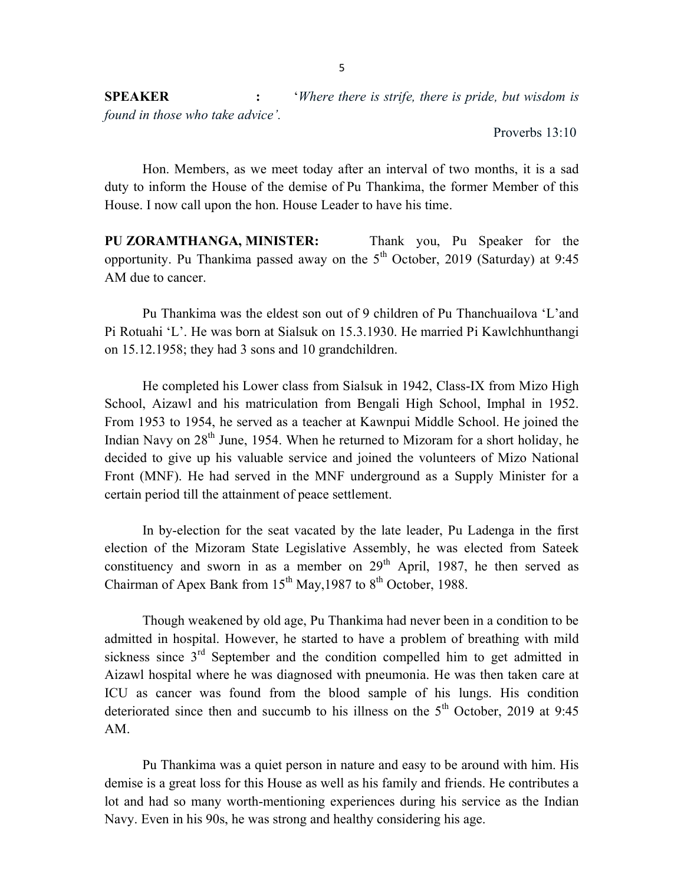SPEAKER : 'Where there is strife, there is pride, but wisdom is found in those who take advice'.

Proverbs 13:10

 Hon. Members, as we meet today after an interval of two months, it is a sad duty to inform the House of the demise of Pu Thankima, the former Member of this House. I now call upon the hon. House Leader to have his time.

PU ZORAMTHANGA, MINISTER: Thank you, Pu Speaker for the opportunity. Pu Thankima passed away on the  $5<sup>th</sup>$  October, 2019 (Saturday) at 9:45 AM due to cancer.

 Pu Thankima was the eldest son out of 9 children of Pu Thanchuailova 'L'and Pi Rotuahi 'L'. He was born at Sialsuk on 15.3.1930. He married Pi Kawlchhunthangi on 15.12.1958; they had 3 sons and 10 grandchildren.

 He completed his Lower class from Sialsuk in 1942, Class-IX from Mizo High School, Aizawl and his matriculation from Bengali High School, Imphal in 1952. From 1953 to 1954, he served as a teacher at Kawnpui Middle School. He joined the Indian Navy on  $28<sup>th</sup>$  June, 1954. When he returned to Mizoram for a short holiday, he decided to give up his valuable service and joined the volunteers of Mizo National Front (MNF). He had served in the MNF underground as a Supply Minister for a certain period till the attainment of peace settlement.

 In by-election for the seat vacated by the late leader, Pu Ladenga in the first election of the Mizoram State Legislative Assembly, he was elected from Sateek constituency and sworn in as a member on  $29<sup>th</sup>$  April, 1987, he then served as Chairman of Apex Bank from  $15^{th}$  May, 1987 to  $8^{th}$  October, 1988.

 Though weakened by old age, Pu Thankima had never been in a condition to be admitted in hospital. However, he started to have a problem of breathing with mild sickness since  $3<sup>rd</sup>$  September and the condition compelled him to get admitted in Aizawl hospital where he was diagnosed with pneumonia. He was then taken care at ICU as cancer was found from the blood sample of his lungs. His condition deteriorated since then and succumb to his illness on the  $5<sup>th</sup>$  October, 2019 at 9:45 AM.

 Pu Thankima was a quiet person in nature and easy to be around with him. His demise is a great loss for this House as well as his family and friends. He contributes a lot and had so many worth-mentioning experiences during his service as the Indian Navy. Even in his 90s, he was strong and healthy considering his age.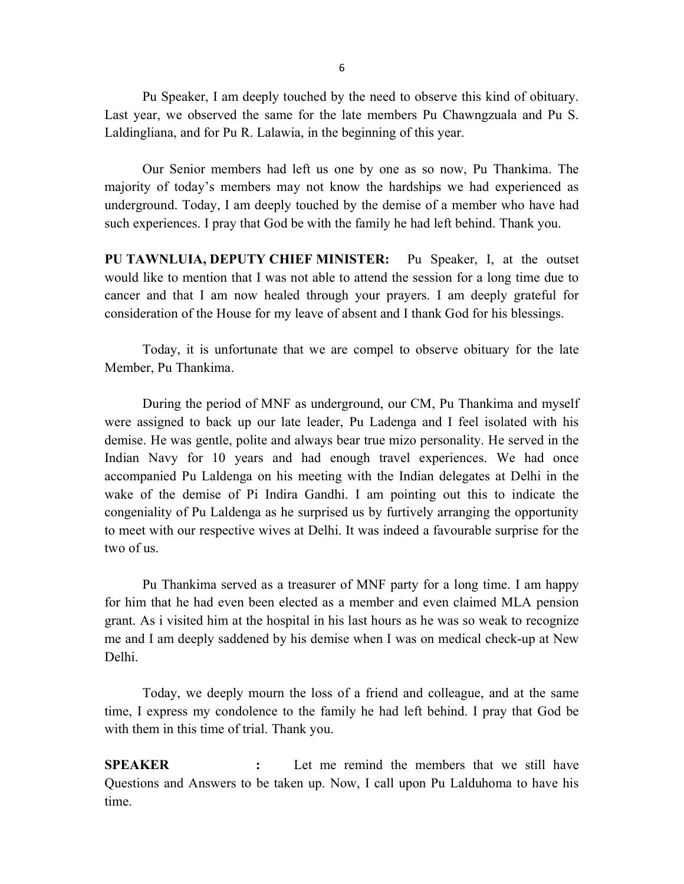Pu Speaker, I am deeply touched by the need to observe this kind of obituary. Last year, we observed the same for the late members Pu Chawngzuala and Pu S. Laldingliana, and for Pu R. Lalawia, in the beginning of this year.

 Our Senior members had left us one by one as so now, Pu Thankima. The majority of today's members may not know the hardships we had experienced as underground. Today, I am deeply touched by the demise of a member who have had such experiences. I pray that God be with the family he had left behind. Thank you.

PU TAWNLUIA, DEPUTY CHIEF MINISTER: Pu Speaker, I, at the outset would like to mention that I was not able to attend the session for a long time due to cancer and that I am now healed through your prayers. I am deeply grateful for consideration of the House for my leave of absent and I thank God for his blessings.

 Today, it is unfortunate that we are compel to observe obituary for the late Member, Pu Thankima.

 During the period of MNF as underground, our CM, Pu Thankima and myself were assigned to back up our late leader, Pu Ladenga and I feel isolated with his demise. He was gentle, polite and always bear true mizo personality. He served in the Indian Navy for 10 years and had enough travel experiences. We had once accompanied Pu Laldenga on his meeting with the Indian delegates at Delhi in the wake of the demise of Pi Indira Gandhi. I am pointing out this to indicate the congeniality of Pu Laldenga as he surprised us by furtively arranging the opportunity to meet with our respective wives at Delhi. It was indeed a favourable surprise for the two of us.

 Pu Thankima served as a treasurer of MNF party for a long time. I am happy for him that he had even been elected as a member and even claimed MLA pension grant. As i visited him at the hospital in his last hours as he was so weak to recognize me and I am deeply saddened by his demise when I was on medical check-up at New Delhi.

 Today, we deeply mourn the loss of a friend and colleague, and at the same time, I express my condolence to the family he had left behind. I pray that God be with them in this time of trial. Thank you.

SPEAKER : Let me remind the members that we still have Questions and Answers to be taken up. Now, I call upon Pu Lalduhoma to have his time.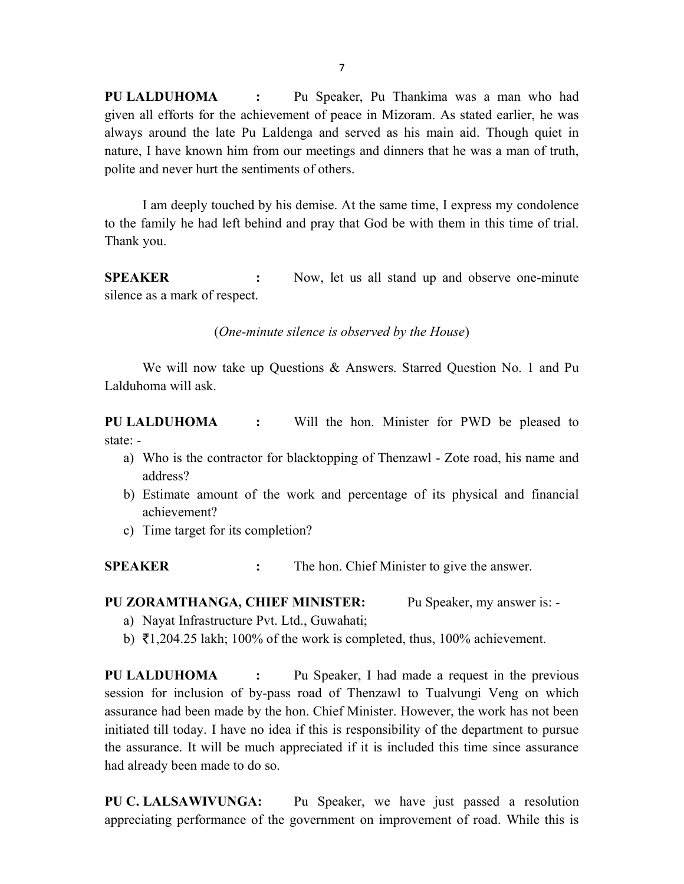PU LALDUHOMA : Pu Speaker, Pu Thankima was a man who had given all efforts for the achievement of peace in Mizoram. As stated earlier, he was always around the late Pu Laldenga and served as his main aid. Though quiet in nature, I have known him from our meetings and dinners that he was a man of truth, polite and never hurt the sentiments of others.

 I am deeply touched by his demise. At the same time, I express my condolence to the family he had left behind and pray that God be with them in this time of trial. Thank you.

SPEAKER : Now, let us all stand up and observe one-minute silence as a mark of respect.

(One-minute silence is observed by the House)

 We will now take up Questions & Answers. Starred Question No. 1 and Pu Lalduhoma will ask.

PU LALDUHOMA : Will the hon. Minister for PWD be pleased to state: -

- a) Who is the contractor for blacktopping of Thenzawl Zote road, his name and address?
- b) Estimate amount of the work and percentage of its physical and financial achievement?
- c) Time target for its completion?

SPEAKER : The hon. Chief Minister to give the answer.

PU ZORAMTHANGA, CHIEF MINISTER: Pu Speaker, my answer is: -

- a) Nayat Infrastructure Pvt. Ltd., Guwahati;
- b)  $\bar{\tau}$ 1,204.25 lakh; 100% of the work is completed, thus, 100% achievement.

PU LALDUHOMA : Pu Speaker, I had made a request in the previous session for inclusion of by-pass road of Thenzawl to Tualvungi Veng on which assurance had been made by the hon. Chief Minister. However, the work has not been initiated till today. I have no idea if this is responsibility of the department to pursue the assurance. It will be much appreciated if it is included this time since assurance had already been made to do so.

PU C. LALSAWIVUNGA: Pu Speaker, we have just passed a resolution appreciating performance of the government on improvement of road. While this is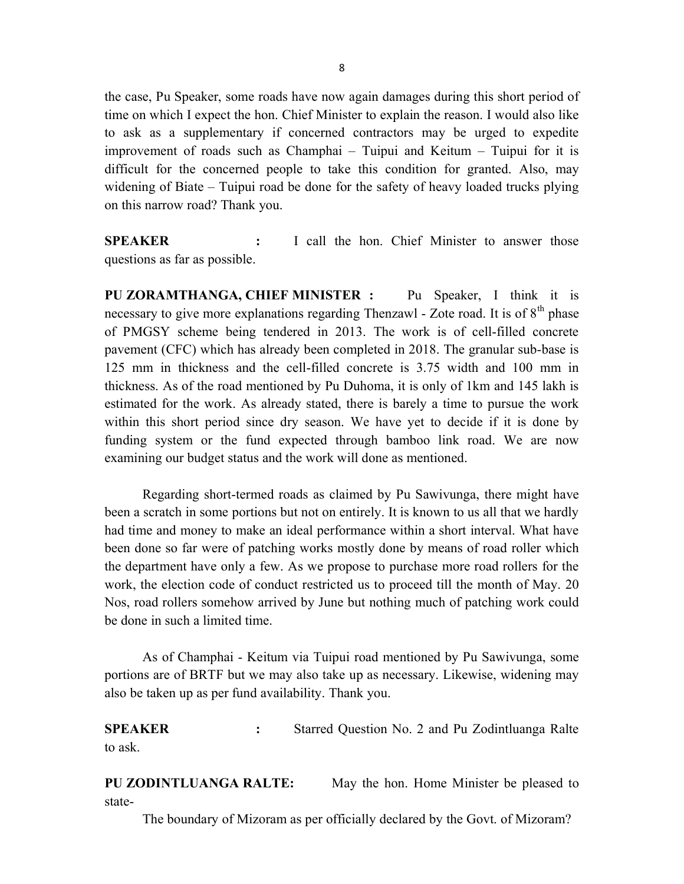the case, Pu Speaker, some roads have now again damages during this short period of time on which I expect the hon. Chief Minister to explain the reason. I would also like to ask as a supplementary if concerned contractors may be urged to expedite improvement of roads such as Champhai – Tuipui and Keitum – Tuipui for it is difficult for the concerned people to take this condition for granted. Also, may widening of Biate – Tuipui road be done for the safety of heavy loaded trucks plying on this narrow road? Thank you.

SPEAKER : I call the hon. Chief Minister to answer those questions as far as possible.

PU ZORAMTHANGA, CHIEF MINISTER : Pu Speaker, I think it is necessary to give more explanations regarding Thenzawl - Zote road. It is of  $8<sup>th</sup>$  phase of PMGSY scheme being tendered in 2013. The work is of cell-filled concrete pavement (CFC) which has already been completed in 2018. The granular sub-base is 125 mm in thickness and the cell-filled concrete is 3.75 width and 100 mm in thickness. As of the road mentioned by Pu Duhoma, it is only of 1km and 145 lakh is estimated for the work. As already stated, there is barely a time to pursue the work within this short period since dry season. We have yet to decide if it is done by funding system or the fund expected through bamboo link road. We are now examining our budget status and the work will done as mentioned.

 Regarding short-termed roads as claimed by Pu Sawivunga, there might have been a scratch in some portions but not on entirely. It is known to us all that we hardly had time and money to make an ideal performance within a short interval. What have been done so far were of patching works mostly done by means of road roller which the department have only a few. As we propose to purchase more road rollers for the work, the election code of conduct restricted us to proceed till the month of May. 20 Nos, road rollers somehow arrived by June but nothing much of patching work could be done in such a limited time.

 As of Champhai - Keitum via Tuipui road mentioned by Pu Sawivunga, some portions are of BRTF but we may also take up as necessary. Likewise, widening may also be taken up as per fund availability. Thank you.

SPEAKER : Starred Question No. 2 and Pu Zodintluanga Ralte to ask.

PU ZODINTLUANGA RALTE: May the hon. Home Minister be pleased to state-

The boundary of Mizoram as per officially declared by the Govt. of Mizoram?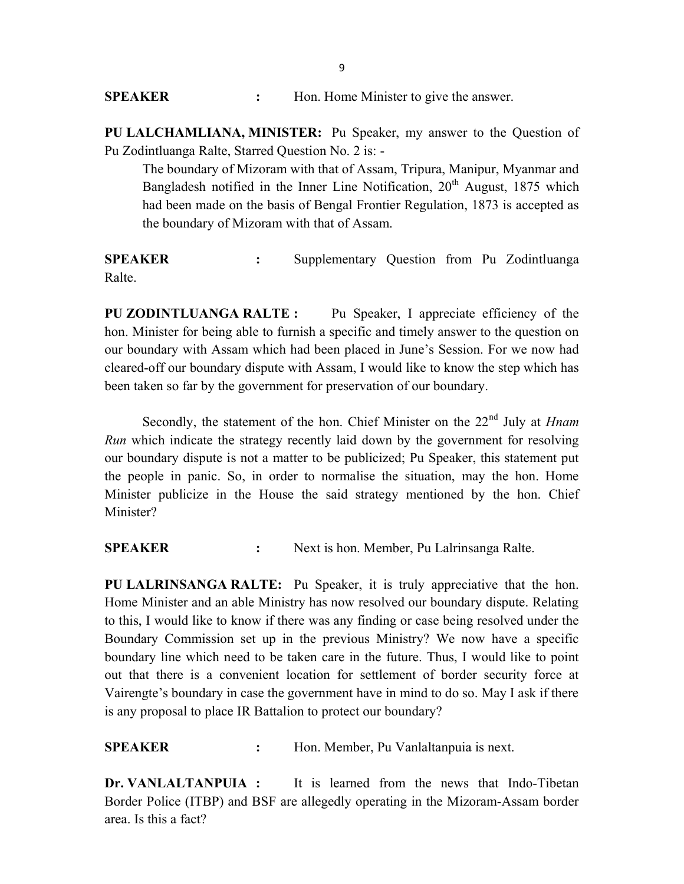**SPEAKER** : Hon. Home Minister to give the answer.

PU LALCHAMLIANA, MINISTER: Pu Speaker, my answer to the Question of Pu Zodintluanga Ralte, Starred Question No. 2 is: -

 The boundary of Mizoram with that of Assam, Tripura, Manipur, Myanmar and Bangladesh notified in the Inner Line Notification, 20<sup>th</sup> August, 1875 which had been made on the basis of Bengal Frontier Regulation, 1873 is accepted as the boundary of Mizoram with that of Assam.

SPEAKER : Supplementary Question from Pu Zodintluanga Ralte.

PU ZODINTLUANGA RALTE: Pu Speaker, I appreciate efficiency of the hon. Minister for being able to furnish a specific and timely answer to the question on our boundary with Assam which had been placed in June's Session. For we now had cleared-off our boundary dispute with Assam, I would like to know the step which has been taken so far by the government for preservation of our boundary.

Secondly, the statement of the hon. Chief Minister on the  $22<sup>nd</sup>$  July at *Hnam* Run which indicate the strategy recently laid down by the government for resolving our boundary dispute is not a matter to be publicized; Pu Speaker, this statement put the people in panic. So, in order to normalise the situation, may the hon. Home Minister publicize in the House the said strategy mentioned by the hon. Chief Minister?

SPEAKER : Next is hon. Member, Pu Lalrinsanga Ralte.

PU LALRINSANGA RALTE: Pu Speaker, it is truly appreciative that the hon. Home Minister and an able Ministry has now resolved our boundary dispute. Relating to this, I would like to know if there was any finding or case being resolved under the Boundary Commission set up in the previous Ministry? We now have a specific boundary line which need to be taken care in the future. Thus, I would like to point out that there is a convenient location for settlement of border security force at Vairengte's boundary in case the government have in mind to do so. May I ask if there is any proposal to place IR Battalion to protect our boundary?

SPEAKER : Hon. Member, Pu Vanlaltanpuia is next.

Dr. VANLALTANPUIA : It is learned from the news that Indo-Tibetan Border Police (ITBP) and BSF are allegedly operating in the Mizoram-Assam border area. Is this a fact?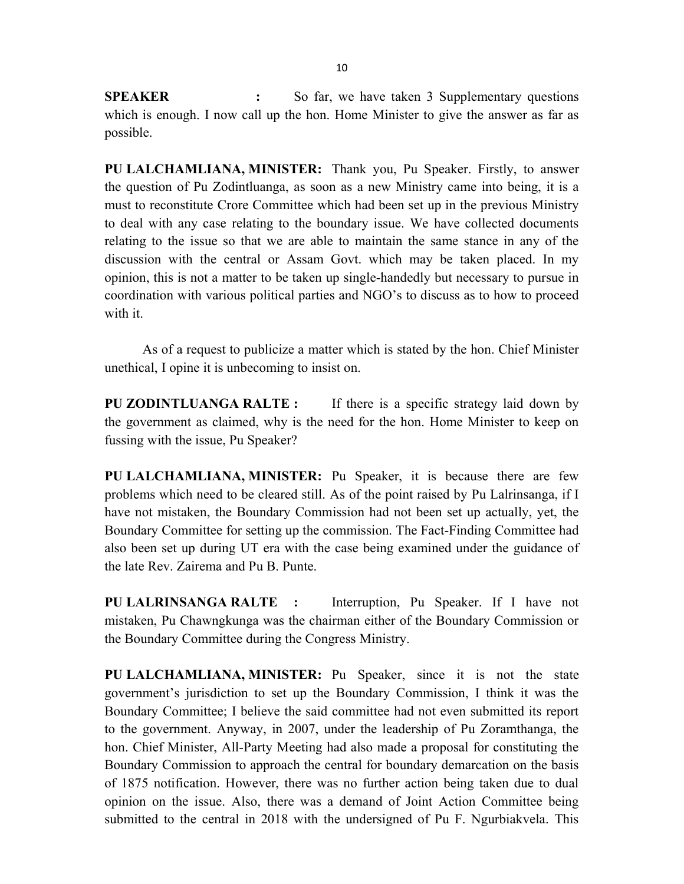SPEAKER : So far, we have taken 3 Supplementary questions which is enough. I now call up the hon. Home Minister to give the answer as far as possible.

PU LALCHAMLIANA, MINISTER: Thank you, Pu Speaker. Firstly, to answer the question of Pu Zodintluanga, as soon as a new Ministry came into being, it is a must to reconstitute Crore Committee which had been set up in the previous Ministry to deal with any case relating to the boundary issue. We have collected documents relating to the issue so that we are able to maintain the same stance in any of the discussion with the central or Assam Govt. which may be taken placed. In my opinion, this is not a matter to be taken up single-handedly but necessary to pursue in coordination with various political parties and NGO's to discuss as to how to proceed with it.

 As of a request to publicize a matter which is stated by the hon. Chief Minister unethical, I opine it is unbecoming to insist on.

PU ZODINTLUANGA RALTE: If there is a specific strategy laid down by the government as claimed, why is the need for the hon. Home Minister to keep on fussing with the issue, Pu Speaker?

PU LALCHAMLIANA, MINISTER: Pu Speaker, it is because there are few problems which need to be cleared still. As of the point raised by Pu Lalrinsanga, if I have not mistaken, the Boundary Commission had not been set up actually, yet, the Boundary Committee for setting up the commission. The Fact-Finding Committee had also been set up during UT era with the case being examined under the guidance of the late Rev. Zairema and Pu B. Punte.

PU LALRINSANGA RALTE : Interruption, Pu Speaker. If I have not mistaken, Pu Chawngkunga was the chairman either of the Boundary Commission or the Boundary Committee during the Congress Ministry.

PU LALCHAMLIANA, MINISTER: Pu Speaker, since it is not the state government's jurisdiction to set up the Boundary Commission, I think it was the Boundary Committee; I believe the said committee had not even submitted its report to the government. Anyway, in 2007, under the leadership of Pu Zoramthanga, the hon. Chief Minister, All-Party Meeting had also made a proposal for constituting the Boundary Commission to approach the central for boundary demarcation on the basis of 1875 notification. However, there was no further action being taken due to dual opinion on the issue. Also, there was a demand of Joint Action Committee being submitted to the central in 2018 with the undersigned of Pu F. Ngurbiakvela. This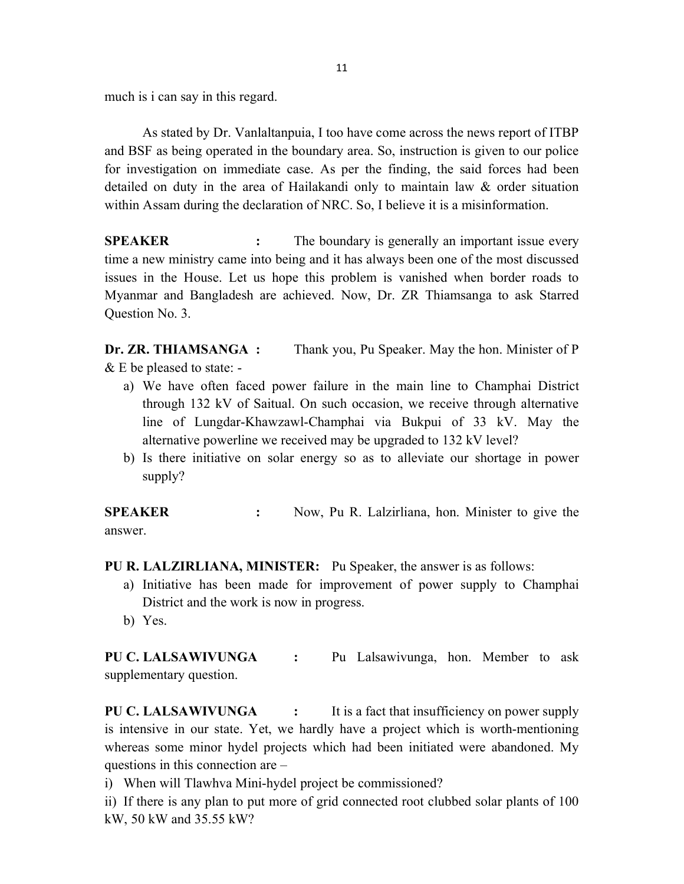much is i can say in this regard.

 As stated by Dr. Vanlaltanpuia, I too have come across the news report of ITBP and BSF as being operated in the boundary area. So, instruction is given to our police for investigation on immediate case. As per the finding, the said forces had been detailed on duty in the area of Hailakandi only to maintain law & order situation within Assam during the declaration of NRC. So, I believe it is a misinformation.

SPEAKER : The boundary is generally an important issue every time a new ministry came into being and it has always been one of the most discussed issues in the House. Let us hope this problem is vanished when border roads to Myanmar and Bangladesh are achieved. Now, Dr. ZR Thiamsanga to ask Starred Question No. 3.

Dr. ZR. THIAMSANGA : Thank you, Pu Speaker. May the hon. Minister of P & E be pleased to state: -

- a) We have often faced power failure in the main line to Champhai District through 132 kV of Saitual. On such occasion, we receive through alternative line of Lungdar-Khawzawl-Champhai via Bukpui of 33 kV. May the alternative powerline we received may be upgraded to 132 kV level?
- b) Is there initiative on solar energy so as to alleviate our shortage in power supply?

SPEAKER : Now, Pu R. Lalzirliana, hon. Minister to give the answer.

PU R. LALZIRLIANA, MINISTER: Pu Speaker, the answer is as follows:

- a) Initiative has been made for improvement of power supply to Champhai District and the work is now in progress.
- b) Yes.

PU C. LALSAWIVUNGA : Pu Lalsawivunga, hon. Member to ask supplementary question.

PU C. LALSAWIVUNGA : It is a fact that insufficiency on power supply is intensive in our state. Yet, we hardly have a project which is worth-mentioning whereas some minor hydel projects which had been initiated were abandoned. My questions in this connection are –

i) When will Tlawhva Mini-hydel project be commissioned?

ii) If there is any plan to put more of grid connected root clubbed solar plants of 100 kW, 50 kW and 35.55 kW?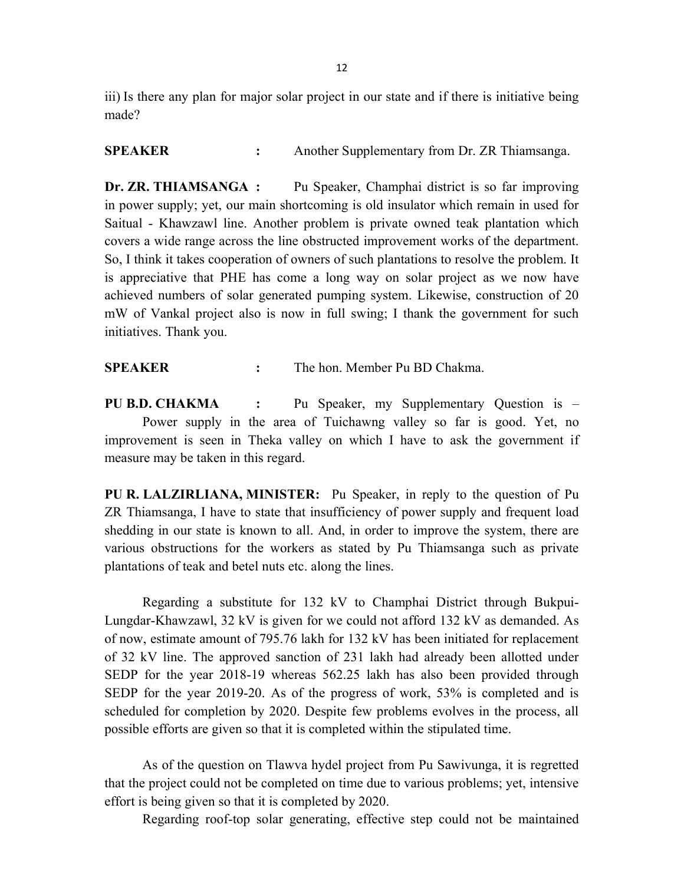iii) Is there any plan for major solar project in our state and if there is initiative being made?

SPEAKER : Another Supplementary from Dr. ZR Thiamsanga.

Dr. ZR. THIAMSANGA : Pu Speaker, Champhai district is so far improving in power supply; yet, our main shortcoming is old insulator which remain in used for Saitual - Khawzawl line. Another problem is private owned teak plantation which covers a wide range across the line obstructed improvement works of the department. So, I think it takes cooperation of owners of such plantations to resolve the problem. It is appreciative that PHE has come a long way on solar project as we now have achieved numbers of solar generated pumping system. Likewise, construction of 20 mW of Vankal project also is now in full swing; I thank the government for such initiatives. Thank you.

SPEAKER : The hon. Member Pu BD Chakma.

PU B.D. CHAKMA : Pu Speaker, my Supplementary Question is - Power supply in the area of Tuichawng valley so far is good. Yet, no improvement is seen in Theka valley on which I have to ask the government if measure may be taken in this regard.

PU R. LALZIRLIANA, MINISTER: Pu Speaker, in reply to the question of Pu ZR Thiamsanga, I have to state that insufficiency of power supply and frequent load shedding in our state is known to all. And, in order to improve the system, there are various obstructions for the workers as stated by Pu Thiamsanga such as private plantations of teak and betel nuts etc. along the lines.

 Regarding a substitute for 132 kV to Champhai District through Bukpui-Lungdar-Khawzawl, 32 kV is given for we could not afford 132 kV as demanded. As of now, estimate amount of 795.76 lakh for 132 kV has been initiated for replacement of 32 kV line. The approved sanction of 231 lakh had already been allotted under SEDP for the year 2018-19 whereas 562.25 lakh has also been provided through SEDP for the year 2019-20. As of the progress of work, 53% is completed and is scheduled for completion by 2020. Despite few problems evolves in the process, all possible efforts are given so that it is completed within the stipulated time.

 As of the question on Tlawva hydel project from Pu Sawivunga, it is regretted that the project could not be completed on time due to various problems; yet, intensive effort is being given so that it is completed by 2020.

Regarding roof-top solar generating, effective step could not be maintained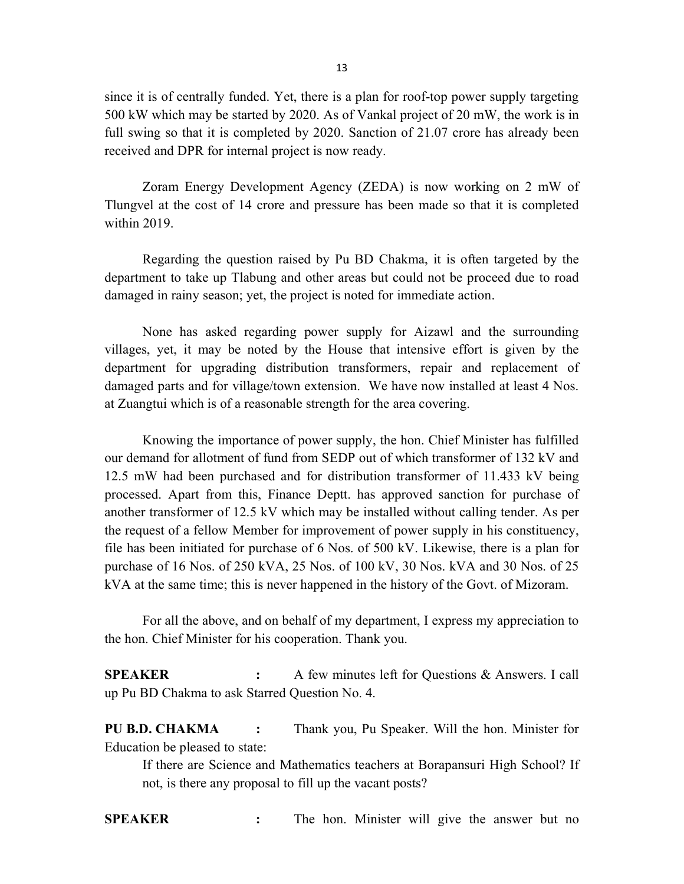since it is of centrally funded. Yet, there is a plan for roof-top power supply targeting 500 kW which may be started by 2020. As of Vankal project of 20 mW, the work is in full swing so that it is completed by 2020. Sanction of 21.07 crore has already been received and DPR for internal project is now ready.

 Zoram Energy Development Agency (ZEDA) is now working on 2 mW of Tlungvel at the cost of 14 crore and pressure has been made so that it is completed within 2019.

 Regarding the question raised by Pu BD Chakma, it is often targeted by the department to take up Tlabung and other areas but could not be proceed due to road damaged in rainy season; yet, the project is noted for immediate action.

 None has asked regarding power supply for Aizawl and the surrounding villages, yet, it may be noted by the House that intensive effort is given by the department for upgrading distribution transformers, repair and replacement of damaged parts and for village/town extension. We have now installed at least 4 Nos. at Zuangtui which is of a reasonable strength for the area covering.

 Knowing the importance of power supply, the hon. Chief Minister has fulfilled our demand for allotment of fund from SEDP out of which transformer of 132 kV and 12.5 mW had been purchased and for distribution transformer of 11.433 kV being processed. Apart from this, Finance Deptt. has approved sanction for purchase of another transformer of 12.5 kV which may be installed without calling tender. As per the request of a fellow Member for improvement of power supply in his constituency, file has been initiated for purchase of 6 Nos. of 500 kV. Likewise, there is a plan for purchase of 16 Nos. of 250 kVA, 25 Nos. of 100 kV, 30 Nos. kVA and 30 Nos. of 25 kVA at the same time; this is never happened in the history of the Govt. of Mizoram.

 For all the above, and on behalf of my department, I express my appreciation to the hon. Chief Minister for his cooperation. Thank you.

SPEAKER : A few minutes left for Questions & Answers. I call up Pu BD Chakma to ask Starred Question No. 4.

PU B.D. CHAKMA : Thank you, Pu Speaker. Will the hon. Minister for Education be pleased to state:

 If there are Science and Mathematics teachers at Borapansuri High School? If not, is there any proposal to fill up the vacant posts?

SPEAKER : The hon. Minister will give the answer but no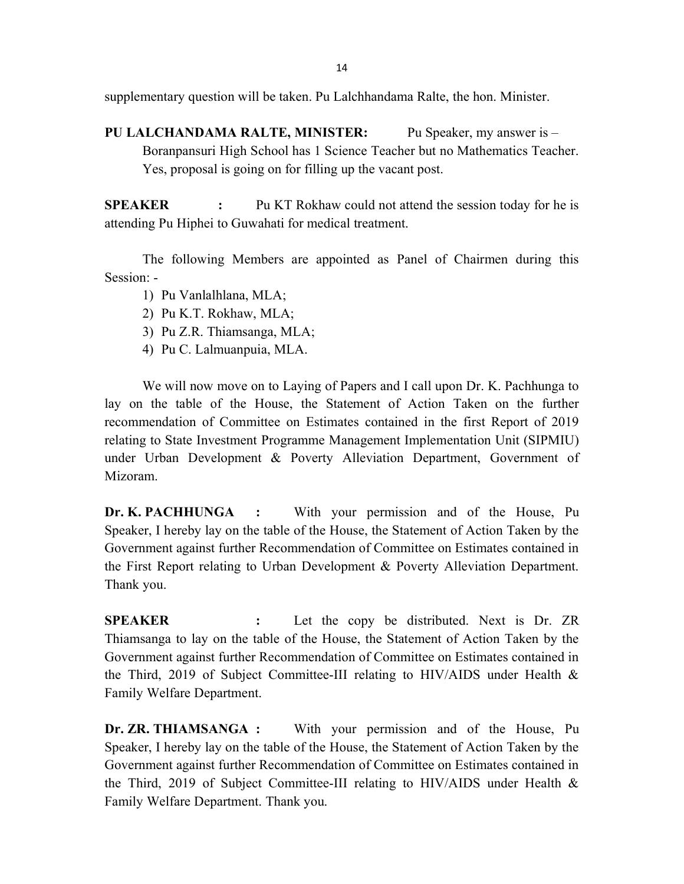supplementary question will be taken. Pu Lalchhandama Ralte, the hon. Minister.

PU LALCHANDAMA RALTE, MINISTER: Pu Speaker, my answer is – Boranpansuri High School has 1 Science Teacher but no Mathematics Teacher. Yes, proposal is going on for filling up the vacant post.

**SPEAKER** : Pu KT Rokhaw could not attend the session today for he is attending Pu Hiphei to Guwahati for medical treatment.

 The following Members are appointed as Panel of Chairmen during this Session: -

- 1) Pu Vanlalhlana, MLA;
- 2) Pu K.T. Rokhaw, MLA;
- 3) Pu Z.R. Thiamsanga, MLA;
- 4) Pu C. Lalmuanpuia, MLA.

 We will now move on to Laying of Papers and I call upon Dr. K. Pachhunga to lay on the table of the House, the Statement of Action Taken on the further recommendation of Committee on Estimates contained in the first Report of 2019 relating to State Investment Programme Management Implementation Unit (SIPMIU) under Urban Development & Poverty Alleviation Department, Government of Mizoram.

Dr. K. PACHHUNGA : With your permission and of the House, Pu Speaker, I hereby lay on the table of the House, the Statement of Action Taken by the Government against further Recommendation of Committee on Estimates contained in the First Report relating to Urban Development & Poverty Alleviation Department. Thank you.

SPEAKER : Let the copy be distributed. Next is Dr. ZR Thiamsanga to lay on the table of the House, the Statement of Action Taken by the Government against further Recommendation of Committee on Estimates contained in the Third, 2019 of Subject Committee-III relating to HIV/AIDS under Health & Family Welfare Department.

Dr. ZR. THIAMSANGA : With your permission and of the House, Pu Speaker, I hereby lay on the table of the House, the Statement of Action Taken by the Government against further Recommendation of Committee on Estimates contained in the Third, 2019 of Subject Committee-III relating to HIV/AIDS under Health  $\&$ Family Welfare Department. Thank you.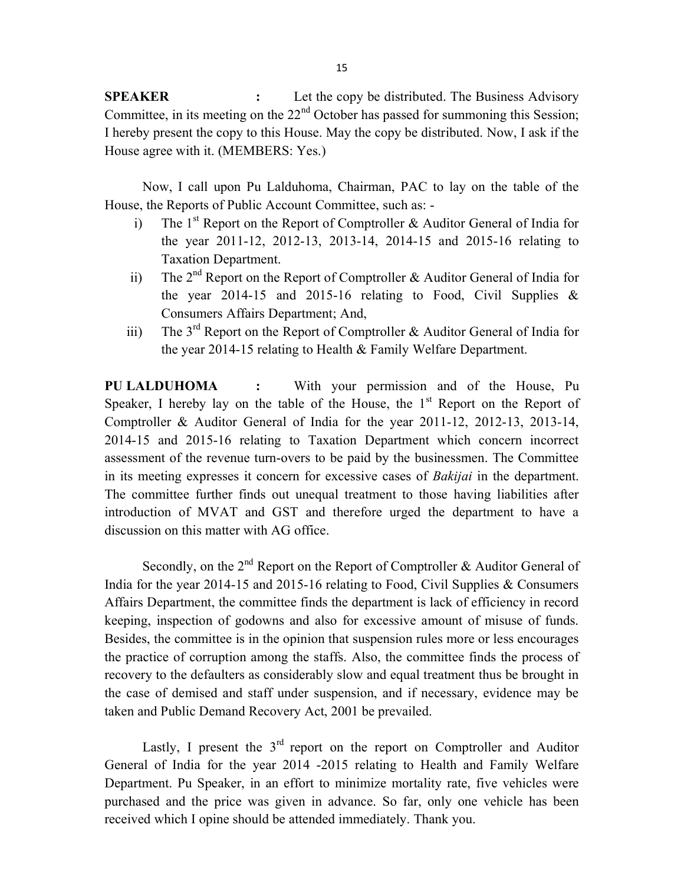SPEAKER : Let the copy be distributed. The Business Advisory Committee, in its meeting on the  $22<sup>nd</sup>$  October has passed for summoning this Session; I hereby present the copy to this House. May the copy be distributed. Now, I ask if the House agree with it. (MEMBERS: Yes.)

 Now, I call upon Pu Lalduhoma, Chairman, PAC to lay on the table of the House, the Reports of Public Account Committee, such as: -

- i) The  $1<sup>st</sup>$  Report on the Report of Comptroller & Auditor General of India for the year 2011-12, 2012-13, 2013-14, 2014-15 and 2015-16 relating to Taxation Department.
- ii) The 2<sup>nd</sup> Report on the Report of Comptroller & Auditor General of India for the year 2014-15 and 2015-16 relating to Food, Civil Supplies & Consumers Affairs Department; And,
- iii) The  $3<sup>rd</sup>$  Report on the Report of Comptroller & Auditor General of India for the year 2014-15 relating to Health & Family Welfare Department.

PU LALDUHOMA : With your permission and of the House, Pu Speaker, I hereby lay on the table of the House, the  $1<sup>st</sup>$  Report on the Report of Comptroller & Auditor General of India for the year 2011-12, 2012-13, 2013-14, 2014-15 and 2015-16 relating to Taxation Department which concern incorrect assessment of the revenue turn-overs to be paid by the businessmen. The Committee in its meeting expresses it concern for excessive cases of Bakijai in the department. The committee further finds out unequal treatment to those having liabilities after introduction of MVAT and GST and therefore urged the department to have a discussion on this matter with AG office.

Secondly, on the  $2<sup>nd</sup>$  Report on the Report of Comptroller & Auditor General of India for the year 2014-15 and 2015-16 relating to Food, Civil Supplies & Consumers Affairs Department, the committee finds the department is lack of efficiency in record keeping, inspection of godowns and also for excessive amount of misuse of funds. Besides, the committee is in the opinion that suspension rules more or less encourages the practice of corruption among the staffs. Also, the committee finds the process of recovery to the defaulters as considerably slow and equal treatment thus be brought in the case of demised and staff under suspension, and if necessary, evidence may be taken and Public Demand Recovery Act, 2001 be prevailed.

Lastly, I present the  $3<sup>rd</sup>$  report on the report on Comptroller and Auditor General of India for the year 2014 -2015 relating to Health and Family Welfare Department. Pu Speaker, in an effort to minimize mortality rate, five vehicles were purchased and the price was given in advance. So far, only one vehicle has been received which I opine should be attended immediately. Thank you.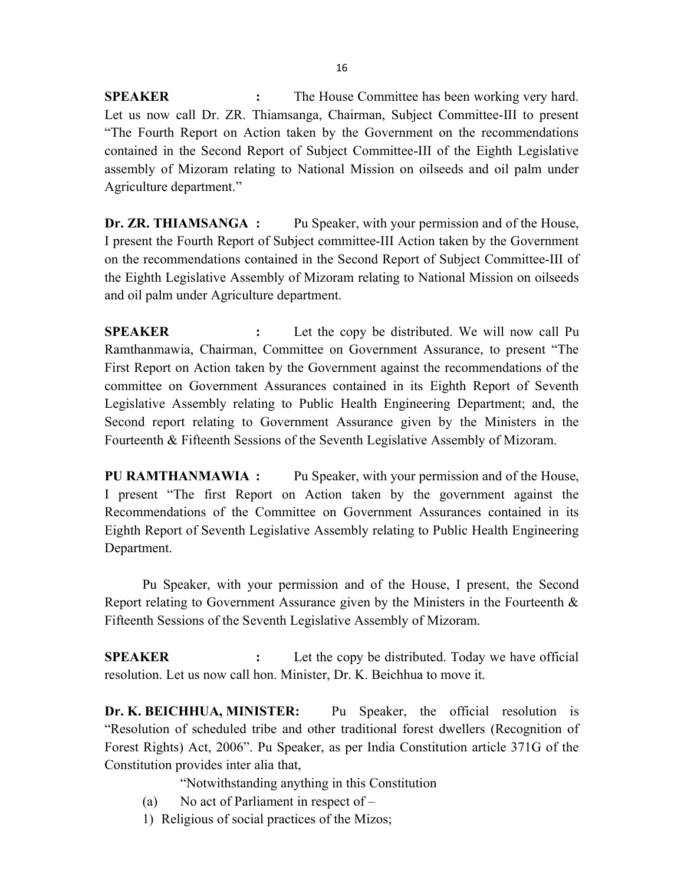**SPEAKER** : The House Committee has been working very hard. Let us now call Dr. ZR. Thiamsanga, Chairman, Subject Committee-III to present "The Fourth Report on Action taken by the Government on the recommendations contained in the Second Report of Subject Committee-III of the Eighth Legislative assembly of Mizoram relating to National Mission on oilseeds and oil palm under Agriculture department."

Dr. ZR. THIAMSANGA : Pu Speaker, with your permission and of the House, I present the Fourth Report of Subject committee-III Action taken by the Government on the recommendations contained in the Second Report of Subject Committee-III of the Eighth Legislative Assembly of Mizoram relating to National Mission on oilseeds and oil palm under Agriculture department.

SPEAKER : Let the copy be distributed. We will now call Pu Ramthanmawia, Chairman, Committee on Government Assurance, to present "The First Report on Action taken by the Government against the recommendations of the committee on Government Assurances contained in its Eighth Report of Seventh Legislative Assembly relating to Public Health Engineering Department; and, the Second report relating to Government Assurance given by the Ministers in the Fourteenth & Fifteenth Sessions of the Seventh Legislative Assembly of Mizoram.

PU RAMTHANMAWIA : Pu Speaker, with your permission and of the House, I present "The first Report on Action taken by the government against the Recommendations of the Committee on Government Assurances contained in its Eighth Report of Seventh Legislative Assembly relating to Public Health Engineering Department.

 Pu Speaker, with your permission and of the House, I present, the Second Report relating to Government Assurance given by the Ministers in the Fourteenth & Fifteenth Sessions of the Seventh Legislative Assembly of Mizoram.

SPEAKER : Let the copy be distributed. Today we have official resolution. Let us now call hon. Minister, Dr. K. Beichhua to move it.

Dr. K. BEICHHUA, MINISTER: Pu Speaker, the official resolution is "Resolution of scheduled tribe and other traditional forest dwellers (Recognition of Forest Rights) Act, 2006". Pu Speaker, as per India Constitution article 371G of the Constitution provides inter alia that,

"Notwithstanding anything in this Constitution

- (a) No act of Parliament in respect of  $-$
- 1) Religious of social practices of the Mizos;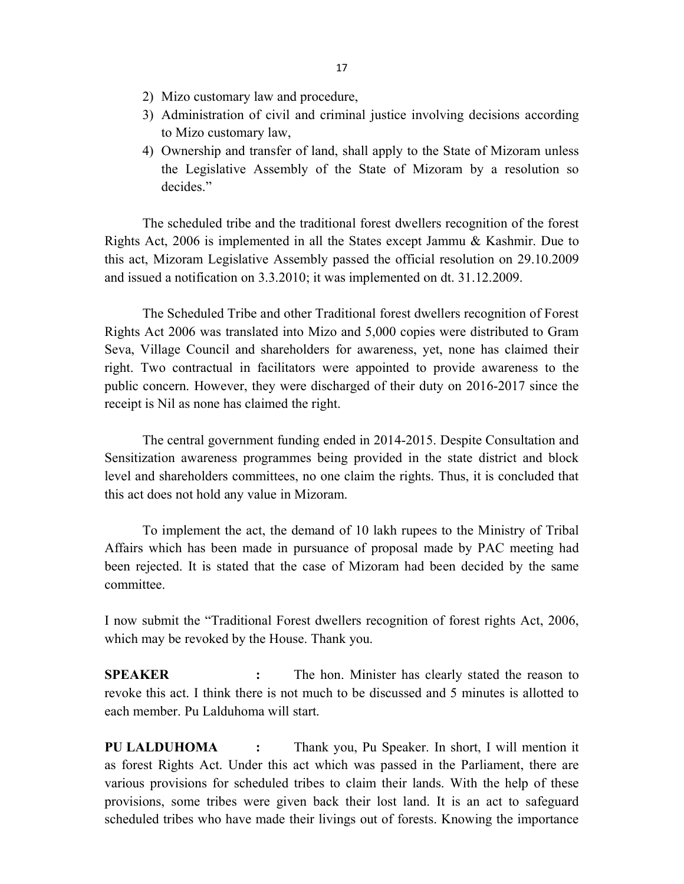- 2) Mizo customary law and procedure,
- 3) Administration of civil and criminal justice involving decisions according to Mizo customary law,
- 4) Ownership and transfer of land, shall apply to the State of Mizoram unless the Legislative Assembly of the State of Mizoram by a resolution so decides."

 The scheduled tribe and the traditional forest dwellers recognition of the forest Rights Act, 2006 is implemented in all the States except Jammu & Kashmir. Due to this act, Mizoram Legislative Assembly passed the official resolution on 29.10.2009 and issued a notification on 3.3.2010; it was implemented on dt. 31.12.2009.

 The Scheduled Tribe and other Traditional forest dwellers recognition of Forest Rights Act 2006 was translated into Mizo and 5,000 copies were distributed to Gram Seva, Village Council and shareholders for awareness, yet, none has claimed their right. Two contractual in facilitators were appointed to provide awareness to the public concern. However, they were discharged of their duty on 2016-2017 since the receipt is Nil as none has claimed the right.

 The central government funding ended in 2014-2015. Despite Consultation and Sensitization awareness programmes being provided in the state district and block level and shareholders committees, no one claim the rights. Thus, it is concluded that this act does not hold any value in Mizoram.

 To implement the act, the demand of 10 lakh rupees to the Ministry of Tribal Affairs which has been made in pursuance of proposal made by PAC meeting had been rejected. It is stated that the case of Mizoram had been decided by the same committee.

I now submit the "Traditional Forest dwellers recognition of forest rights Act, 2006, which may be revoked by the House. Thank you.

SPEAKER : The hon. Minister has clearly stated the reason to revoke this act. I think there is not much to be discussed and 5 minutes is allotted to each member. Pu Lalduhoma will start.

PU LALDUHOMA : Thank you, Pu Speaker. In short, I will mention it as forest Rights Act. Under this act which was passed in the Parliament, there are various provisions for scheduled tribes to claim their lands. With the help of these provisions, some tribes were given back their lost land. It is an act to safeguard scheduled tribes who have made their livings out of forests. Knowing the importance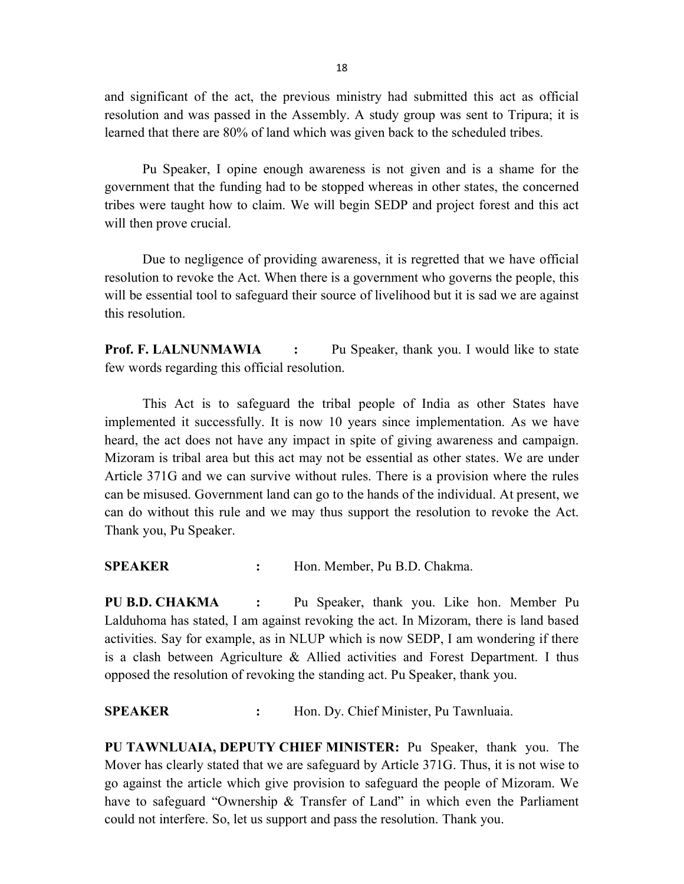and significant of the act, the previous ministry had submitted this act as official resolution and was passed in the Assembly. A study group was sent to Tripura; it is learned that there are 80% of land which was given back to the scheduled tribes.

 Pu Speaker, I opine enough awareness is not given and is a shame for the government that the funding had to be stopped whereas in other states, the concerned tribes were taught how to claim. We will begin SEDP and project forest and this act will then prove crucial.

 Due to negligence of providing awareness, it is regretted that we have official resolution to revoke the Act. When there is a government who governs the people, this will be essential tool to safeguard their source of livelihood but it is sad we are against this resolution.

**Prof. F. LALNUNMAWIA :** Pu Speaker, thank you. I would like to state few words regarding this official resolution.

 This Act is to safeguard the tribal people of India as other States have implemented it successfully. It is now 10 years since implementation. As we have heard, the act does not have any impact in spite of giving awareness and campaign. Mizoram is tribal area but this act may not be essential as other states. We are under Article 371G and we can survive without rules. There is a provision where the rules can be misused. Government land can go to the hands of the individual. At present, we can do without this rule and we may thus support the resolution to revoke the Act. Thank you, Pu Speaker.

SPEAKER : Hon. Member, Pu B.D. Chakma.

PU B.D. CHAKMA : Pu Speaker, thank you. Like hon. Member Pu Lalduhoma has stated, I am against revoking the act. In Mizoram, there is land based activities. Say for example, as in NLUP which is now SEDP, I am wondering if there is a clash between Agriculture & Allied activities and Forest Department. I thus opposed the resolution of revoking the standing act. Pu Speaker, thank you.

#### SPEAKER : Hon. Dy. Chief Minister, Pu Tawnluaia.

PU TAWNLUAIA, DEPUTY CHIEF MINISTER: Pu Speaker, thank you. The Mover has clearly stated that we are safeguard by Article 371G. Thus, it is not wise to go against the article which give provision to safeguard the people of Mizoram. We have to safeguard "Ownership & Transfer of Land" in which even the Parliament could not interfere. So, let us support and pass the resolution. Thank you.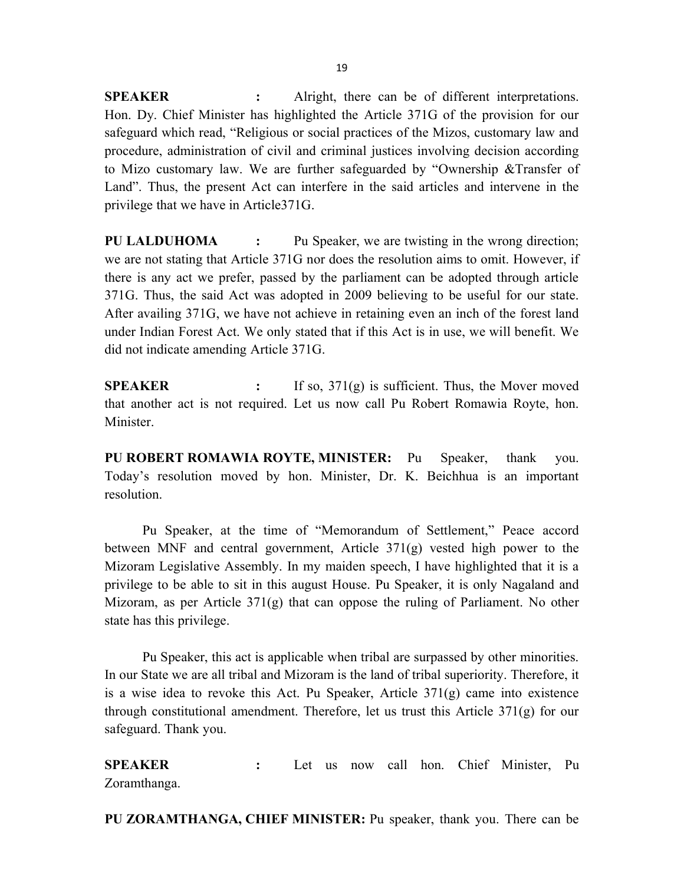SPEAKER : Alright, there can be of different interpretations. Hon. Dy. Chief Minister has highlighted the Article 371G of the provision for our safeguard which read, "Religious or social practices of the Mizos, customary law and procedure, administration of civil and criminal justices involving decision according to Mizo customary law. We are further safeguarded by "Ownership &Transfer of Land". Thus, the present Act can interfere in the said articles and intervene in the privilege that we have in Article371G.

PU LALDUHOMA : Pu Speaker, we are twisting in the wrong direction; we are not stating that Article 371G nor does the resolution aims to omit. However, if there is any act we prefer, passed by the parliament can be adopted through article 371G. Thus, the said Act was adopted in 2009 believing to be useful for our state. After availing 371G, we have not achieve in retaining even an inch of the forest land under Indian Forest Act. We only stated that if this Act is in use, we will benefit. We did not indicate amending Article 371G.

**SPEAKER** : If so,  $371(g)$  is sufficient. Thus, the Mover moved that another act is not required. Let us now call Pu Robert Romawia Royte, hon. Minister.

PU ROBERT ROMAWIA ROYTE, MINISTER: Pu Speaker, thank you. Today's resolution moved by hon. Minister, Dr. K. Beichhua is an important resolution.

 Pu Speaker, at the time of "Memorandum of Settlement," Peace accord between MNF and central government, Article 371(g) vested high power to the Mizoram Legislative Assembly. In my maiden speech, I have highlighted that it is a privilege to be able to sit in this august House. Pu Speaker, it is only Nagaland and Mizoram, as per Article 371(g) that can oppose the ruling of Parliament. No other state has this privilege.

 Pu Speaker, this act is applicable when tribal are surpassed by other minorities. In our State we are all tribal and Mizoram is the land of tribal superiority. Therefore, it is a wise idea to revoke this Act. Pu Speaker, Article  $371(g)$  came into existence through constitutional amendment. Therefore, let us trust this Article 371(g) for our safeguard. Thank you.

SPEAKER : Let us now call hon. Chief Minister, Pu Zoramthanga.

PU ZORAMTHANGA, CHIEF MINISTER: Pu speaker, thank you. There can be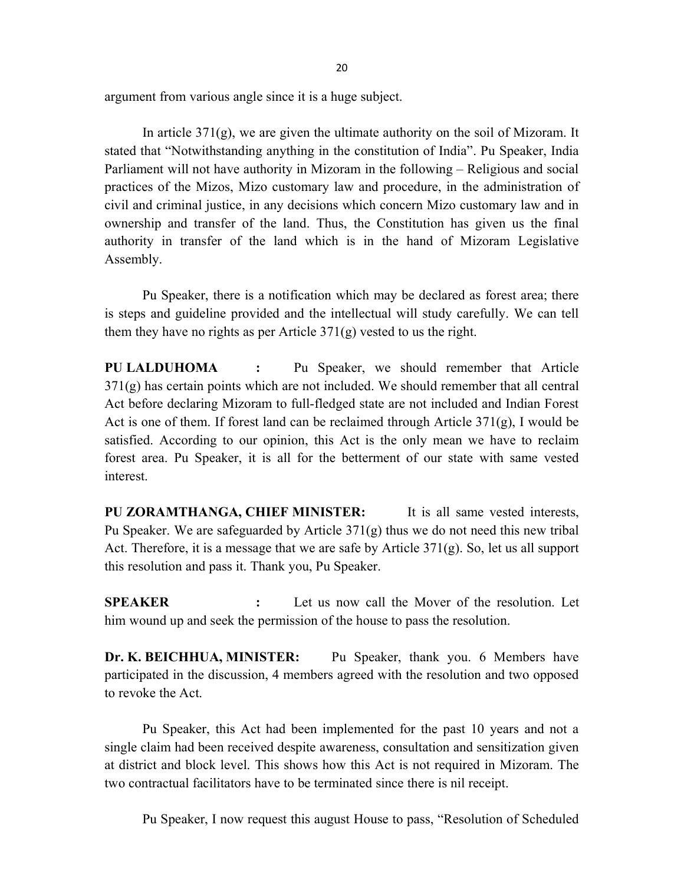argument from various angle since it is a huge subject.

In article  $371(g)$ , we are given the ultimate authority on the soil of Mizoram. It stated that "Notwithstanding anything in the constitution of India". Pu Speaker, India Parliament will not have authority in Mizoram in the following – Religious and social practices of the Mizos, Mizo customary law and procedure, in the administration of civil and criminal justice, in any decisions which concern Mizo customary law and in ownership and transfer of the land. Thus, the Constitution has given us the final authority in transfer of the land which is in the hand of Mizoram Legislative Assembly.

 Pu Speaker, there is a notification which may be declared as forest area; there is steps and guideline provided and the intellectual will study carefully. We can tell them they have no rights as per Article  $371(g)$  vested to us the right.

PU LALDUHOMA : Pu Speaker, we should remember that Article  $371(g)$  has certain points which are not included. We should remember that all central Act before declaring Mizoram to full-fledged state are not included and Indian Forest Act is one of them. If forest land can be reclaimed through Article  $371(g)$ , I would be satisfied. According to our opinion, this Act is the only mean we have to reclaim forest area. Pu Speaker, it is all for the betterment of our state with same vested interest.

PU ZORAMTHANGA, CHIEF MINISTER: It is all same vested interests, Pu Speaker. We are safeguarded by Article 371(g) thus we do not need this new tribal Act. Therefore, it is a message that we are safe by Article  $371(g)$ . So, let us all support this resolution and pass it. Thank you, Pu Speaker.

SPEAKER : Let us now call the Mover of the resolution. Let him wound up and seek the permission of the house to pass the resolution.

Dr. K. BEICHHUA, MINISTER: Pu Speaker, thank you. 6 Members have participated in the discussion, 4 members agreed with the resolution and two opposed to revoke the Act.

 Pu Speaker, this Act had been implemented for the past 10 years and not a single claim had been received despite awareness, consultation and sensitization given at district and block level. This shows how this Act is not required in Mizoram. The two contractual facilitators have to be terminated since there is nil receipt.

Pu Speaker, I now request this august House to pass, "Resolution of Scheduled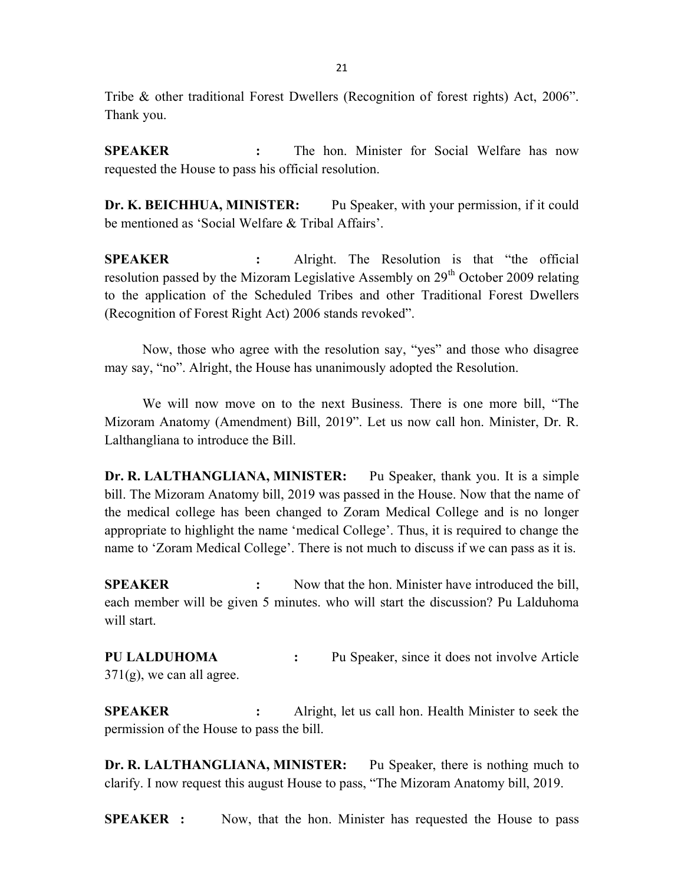Tribe & other traditional Forest Dwellers (Recognition of forest rights) Act, 2006". Thank you.

SPEAKER : The hon. Minister for Social Welfare has now requested the House to pass his official resolution.

Dr. K. BEICHHUA, MINISTER: Pu Speaker, with your permission, if it could be mentioned as 'Social Welfare & Tribal Affairs'.

SPEAKER : Alright. The Resolution is that "the official resolution passed by the Mizoram Legislative Assembly on 29<sup>th</sup> October 2009 relating to the application of the Scheduled Tribes and other Traditional Forest Dwellers (Recognition of Forest Right Act) 2006 stands revoked".

 Now, those who agree with the resolution say, "yes" and those who disagree may say, "no". Alright, the House has unanimously adopted the Resolution.

 We will now move on to the next Business. There is one more bill, "The Mizoram Anatomy (Amendment) Bill, 2019". Let us now call hon. Minister, Dr. R. Lalthangliana to introduce the Bill.

Dr. R. LALTHANGLIANA, MINISTER: Pu Speaker, thank you. It is a simple bill. The Mizoram Anatomy bill, 2019 was passed in the House. Now that the name of the medical college has been changed to Zoram Medical College and is no longer appropriate to highlight the name 'medical College'. Thus, it is required to change the name to 'Zoram Medical College'. There is not much to discuss if we can pass as it is.

**SPEAKER** : Now that the hon. Minister have introduced the bill, each member will be given 5 minutes. who will start the discussion? Pu Lalduhoma will start.

PU LALDUHOMA : Pu Speaker, since it does not involve Article  $371(g)$ , we can all agree.

SPEAKER : Alright, let us call hon. Health Minister to seek the permission of the House to pass the bill.

Dr. R. LALTHANGLIANA, MINISTER: Pu Speaker, there is nothing much to clarify. I now request this august House to pass, "The Mizoram Anatomy bill, 2019.

**SPEAKER** : Now, that the hon. Minister has requested the House to pass